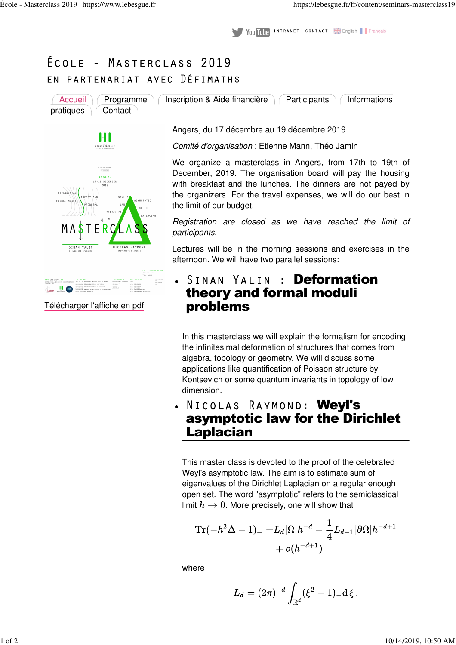**INTRANET CONTACT A English Français** Vou Tube

## ÉCOLE - MASTERCLASS 2019 PARTENARIAT AVEC DÉFIMATHS E N





HT

Télécharger l'affiche en pdf

Angers, du 17 décembre au 19 décembre 2019

Comité d'organisation : Etienne Mann, Théo Jamin

We organize a masterclass in Angers, from 17th to 19th of December, 2019. The organisation board will pay the housing with breakfast and the lunches. The dinners are not payed by the organizers. For the travel expenses, we will do our best in the limit of our budget.

Registration are closed as we have reached the limit of participants.

Lectures will be in the morning sessions and exercises in the afternoon. We will have two parallel sessions:

SINAN YALIN: Deformation theory and formal moduli problems

In this masterclass we will explain the formalism for encoding the infinitesimal deformation of structures that comes from algebra, topology or geometry. We will discuss some applications like quantification of Poisson structure by Kontsevich or some quantum invariants in topology of low dimension.

NICOLAS RAYMOND: WevI's asymptotic law for the Dirichlet Laplacian

This master class is devoted to the proof of the celebrated Weyl's asymptotic law. The aim is to estimate sum of eigenvalues of the Dirichlet Laplacian on a regular enough open set. The word "asymptotic" refers to the semiclassical limit  $h \to 0$ . More precisely, one will show that

$$
\begin{aligned} {\rm Tr}(-h^2\Delta-1)_- = & L_d |\Omega| h^{-d} - \frac{1}{4}L_{d-1} |\partial\Omega| h^{-d+1} \\ &+ o(h^{-d+1}) \end{aligned}
$$

where

$$
L_d = (2\pi)^{-d} \int_{\mathbb{R}^d} (\xi^2-1)_- \mathrm{d}\, \xi\,.
$$